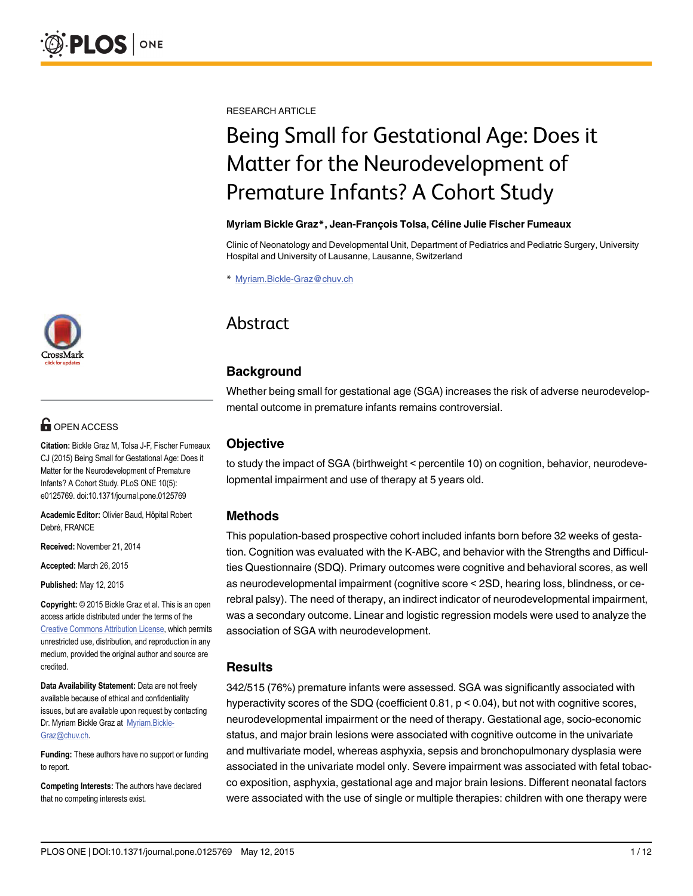[a11111](http://crossmark.crossref.org/dialog/?doi=10.1371/journal.pone.0125769&domain=pdf)

# **OPEN ACCESS**

Citation: Bickle Graz M, Tolsa J-F, Fischer Fumeaux CJ (2015) Being Small for Gestational Age: Does it Matter for the Neurodevelopment of Premature Infants? A Cohort Study. PLoS ONE 10(5): e0125769. doi:10.1371/journal.pone.0125769

Academic Editor: Olivier Baud, Hôpital Robert Debré, FRANCE

Received: November 21, 2014

Accepted: March 26, 2015

Published: May 12, 2015

Copyright: © 2015 Bickle Graz et al. This is an open access article distributed under the terms of the [Creative Commons Attribution License,](http://creativecommons.org/licenses/by/4.0/) which permits unrestricted use, distribution, and reproduction in any medium, provided the original author and source are credited.

Data Availability Statement: Data are not freely available because of ethical and confidentiality issues, but are available upon request by contacting Dr. Myriam Bickle Graz at Myriam. Bickle-Graz@chuv.ch.

Funding: These authors have no support or funding to report.

Competing Interests: The authors have declared that no competing interests exist.

RESEARCH ARTICLE

# Being Small for Gestational Age: Does it Matter for the Neurodevelopment of Premature Infants? A Cohort Study

#### Myriam Bickle Graz\*, Jean-François Tolsa, Céline Julie Fischer Fumeaux

Clinic of Neonatology and Developmental Unit, Department of Pediatrics and Pediatric Surgery, University Hospital and University of Lausanne, Lausanne, Switzerland

\* Myriam.Bickle-Graz@chuv.ch

# Abstract

# **Background**

Whether being small for gestational age (SGA) increases the risk of adverse neurodevelopmental outcome in premature infants remains controversial.

# **Objective**

to study the impact of SGA (birthweight < percentile 10) on cognition, behavior, neurodevelopmental impairment and use of therapy at 5 years old.

## Methods

This population-based prospective cohort included infants born before 32 weeks of gestation. Cognition was evaluated with the K-ABC, and behavior with the Strengths and Difficulties Questionnaire (SDQ). Primary outcomes were cognitive and behavioral scores, as well as neurodevelopmental impairment (cognitive score < 2SD, hearing loss, blindness, or cerebral palsy). The need of therapy, an indirect indicator of neurodevelopmental impairment, was a secondary outcome. Linear and logistic regression models were used to analyze the association of SGA with neurodevelopment.

## **Results**

342/515 (76%) premature infants were assessed. SGA was significantly associated with hyperactivity scores of the SDQ (coefficient 0.81, p < 0.04), but not with cognitive scores, neurodevelopmental impairment or the need of therapy. Gestational age, socio-economic status, and major brain lesions were associated with cognitive outcome in the univariate and multivariate model, whereas asphyxia, sepsis and bronchopulmonary dysplasia were associated in the univariate model only. Severe impairment was associated with fetal tobacco exposition, asphyxia, gestational age and major brain lesions. Different neonatal factors were associated with the use of single or multiple therapies: children with one therapy were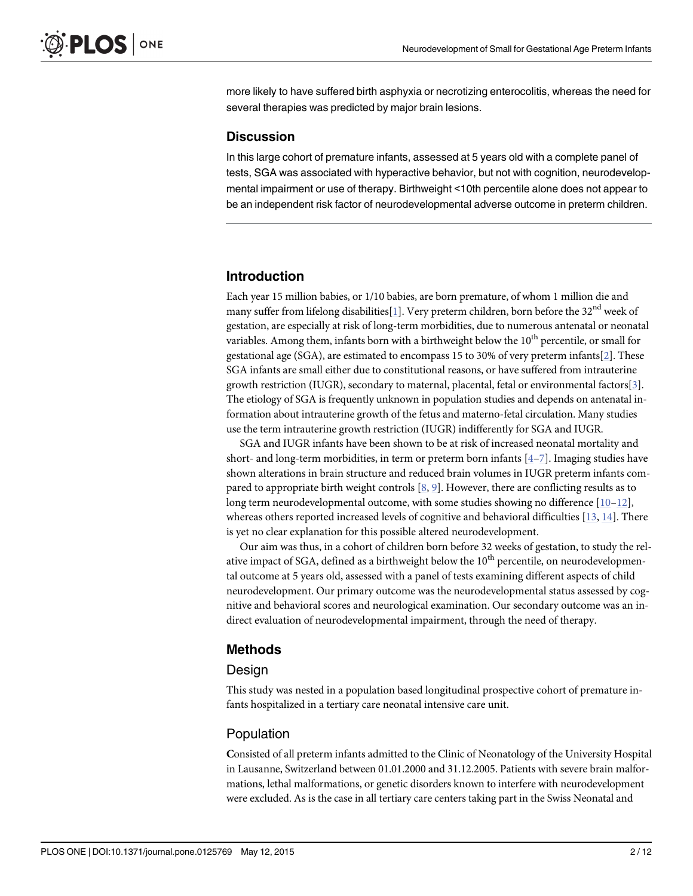<span id="page-1-0"></span>more likely to have suffered birth asphyxia or necrotizing enterocolitis, whereas the need for several therapies was predicted by major brain lesions.

#### **Discussion**

In this large cohort of premature infants, assessed at 5 years old with a complete panel of tests, SGA was associated with hyperactive behavior, but not with cognition, neurodevelopmental impairment or use of therapy. Birthweight <10th percentile alone does not appear to be an independent risk factor of neurodevelopmental adverse outcome in preterm children.

#### Introduction

Each year 15 million babies, or 1/10 babies, are born premature, of whom 1 million die and many suffer from lifelong disabilities[\[1\]](#page-9-0). Very preterm children, born before the 32<sup>nd</sup> week of gestation, are especially at risk of long-term morbidities, due to numerous antenatal or neonatal variables. Among them, infants born with a birthweight below the  $10<sup>th</sup>$  percentile, or small for gestational age (SGA), are estimated to encompass 15 to 30% of very preterm infants[[2](#page-9-0)]. These SGA infants are small either due to constitutional reasons, or have suffered from intrauterine growth restriction (IUGR), secondary to maternal, placental, fetal or environmental factors[[3](#page-10-0)]. The etiology of SGA is frequently unknown in population studies and depends on antenatal information about intrauterine growth of the fetus and materno-fetal circulation. Many studies use the term intrauterine growth restriction (IUGR) indifferently for SGA and IUGR.

SGA and IUGR infants have been shown to be at risk of increased neonatal mortality and short- and long-term morbidities, in term or preterm born infants  $[4-7]$  $[4-7]$  $[4-7]$  $[4-7]$  $[4-7]$ . Imaging studies have shown alterations in brain structure and reduced brain volumes in IUGR preterm infants compared to appropriate birth weight controls  $[8, 9]$  $[8, 9]$  $[8, 9]$  $[8, 9]$ . However, there are conflicting results as to long term neurodevelopmental outcome, with some studies showing no difference  $[10-12]$  $[10-12]$  $[10-12]$ , whereas others reported increased levels of cognitive and behavioral difficulties [[13](#page-10-0), [14](#page-10-0)]. There is yet no clear explanation for this possible altered neurodevelopment.

Our aim was thus, in a cohort of children born before 32 weeks of gestation, to study the relative impact of SGA, defined as a birthweight below the  $10<sup>th</sup>$  percentile, on neurodevelopmental outcome at 5 years old, assessed with a panel of tests examining different aspects of child neurodevelopment. Our primary outcome was the neurodevelopmental status assessed by cognitive and behavioral scores and neurological examination. Our secondary outcome was an indirect evaluation of neurodevelopmental impairment, through the need of therapy.

#### Methods

#### Design

This study was nested in a population based longitudinal prospective cohort of premature infants hospitalized in a tertiary care neonatal intensive care unit.

#### Population

Consisted of all preterm infants admitted to the Clinic of Neonatology of the University Hospital in Lausanne, Switzerland between 01.01.2000 and 31.12.2005. Patients with severe brain malformations, lethal malformations, or genetic disorders known to interfere with neurodevelopment were excluded. As is the case in all tertiary care centers taking part in the Swiss Neonatal and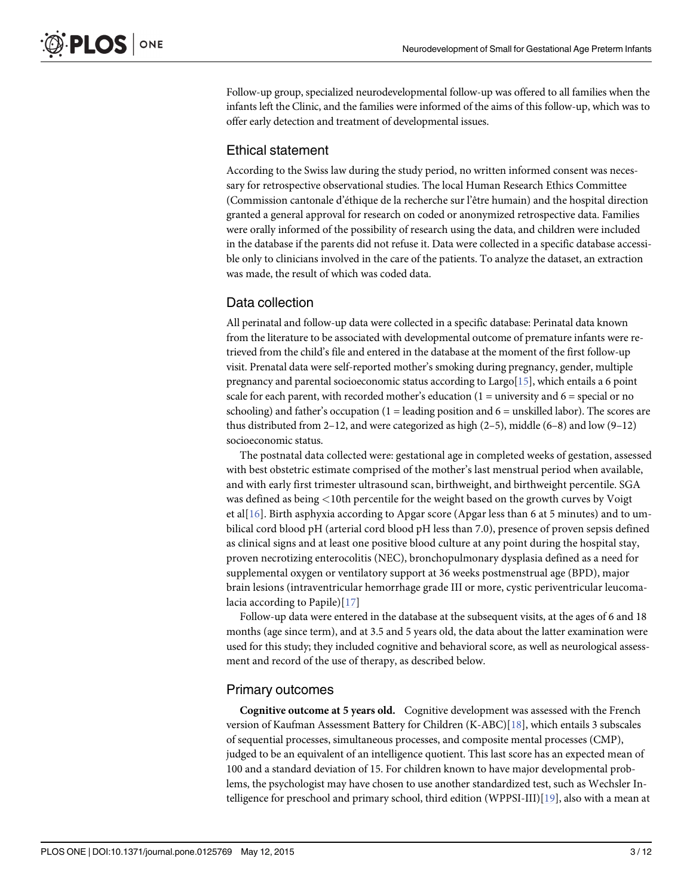<span id="page-2-0"></span>Follow-up group, specialized neurodevelopmental follow-up was offered to all families when the infants left the Clinic, and the families were informed of the aims of this follow-up, which was to offer early detection and treatment of developmental issues.

#### Ethical statement

According to the Swiss law during the study period, no written informed consent was necessary for retrospective observational studies. The local Human Research Ethics Committee (Commission cantonale d'éthique de la recherche sur l'être humain) and the hospital direction granted a general approval for research on coded or anonymized retrospective data. Families were orally informed of the possibility of research using the data, and children were included in the database if the parents did not refuse it. Data were collected in a specific database accessible only to clinicians involved in the care of the patients. To analyze the dataset, an extraction was made, the result of which was coded data.

#### Data collection

All perinatal and follow-up data were collected in a specific database: Perinatal data known from the literature to be associated with developmental outcome of premature infants were retrieved from the child's file and entered in the database at the moment of the first follow-up visit. Prenatal data were self-reported mother's smoking during pregnancy, gender, multiple pregnancy and parental socioeconomic status according to Largo[[15](#page-10-0)], which entails a 6 point scale for each parent, with recorded mother's education  $(1 =$  university and  $6 =$  special or no schooling) and father's occupation  $(1 =$  leading position and  $6 =$  unskilled labor). The scores are thus distributed from 2–12, and were categorized as high  $(2-5)$ , middle  $(6-8)$  and low  $(9-12)$ socioeconomic status.

The postnatal data collected were: gestational age in completed weeks of gestation, assessed with best obstetric estimate comprised of the mother's last menstrual period when available, and with early first trimester ultrasound scan, birthweight, and birthweight percentile. SGA was defined as being <10th percentile for the weight based on the growth curves by Voigt et al[[16\]](#page-10-0). Birth asphyxia according to Apgar score (Apgar less than 6 at 5 minutes) and to umbilical cord blood pH (arterial cord blood pH less than 7.0), presence of proven sepsis defined as clinical signs and at least one positive blood culture at any point during the hospital stay, proven necrotizing enterocolitis (NEC), bronchopulmonary dysplasia defined as a need for supplemental oxygen or ventilatory support at 36 weeks postmenstrual age (BPD), major brain lesions (intraventricular hemorrhage grade III or more, cystic periventricular leucomalacia according to Papile)[[17\]](#page-10-0)

Follow-up data were entered in the database at the subsequent visits, at the ages of 6 and 18 months (age since term), and at 3.5 and 5 years old, the data about the latter examination were used for this study; they included cognitive and behavioral score, as well as neurological assessment and record of the use of therapy, as described below.

#### Primary outcomes

Cognitive outcome at 5 years old. Cognitive development was assessed with the French version of Kaufman Assessment Battery for Children (K-ABC)[\[18](#page-10-0)], which entails 3 subscales of sequential processes, simultaneous processes, and composite mental processes (CMP), judged to be an equivalent of an intelligence quotient. This last score has an expected mean of 100 and a standard deviation of 15. For children known to have major developmental problems, the psychologist may have chosen to use another standardized test, such as Wechsler In-telligence for preschool and primary school, third edition (WPPSI-III)[[19\]](#page-10-0), also with a mean at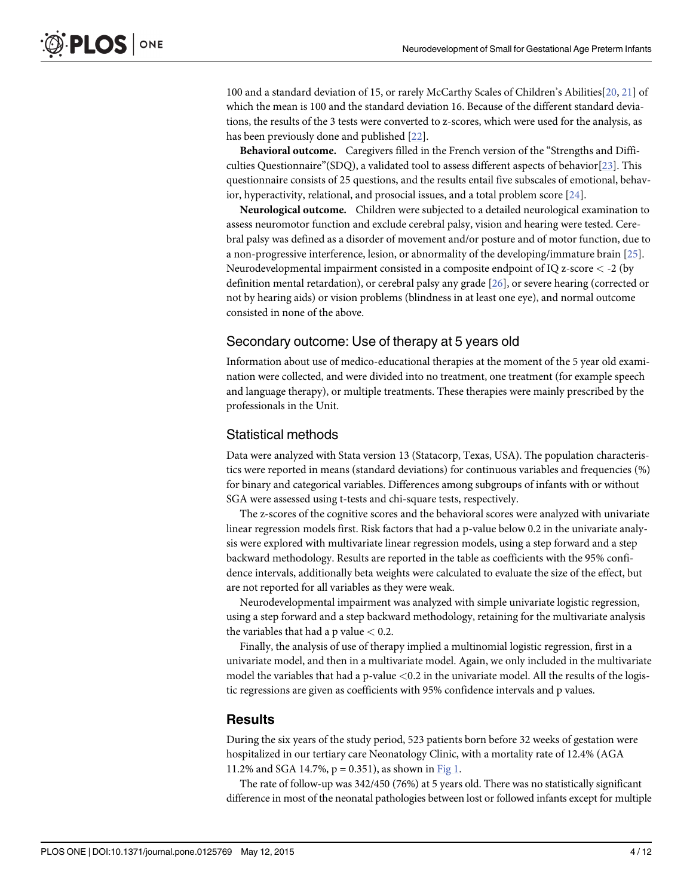<span id="page-3-0"></span>100 and a standard deviation of 15, or rarely McCarthy Scales of Children's Abilities[\[20](#page-10-0), [21](#page-10-0)] of which the mean is 100 and the standard deviation 16. Because of the different standard deviations, the results of the 3 tests were converted to z-scores, which were used for the analysis, as has been previously done and published [[22](#page-10-0)].

Behavioral outcome. Caregivers filled in the French version of the "Strengths and Diffi-culties Questionnaire"(SDQ), a validated tool to assess different aspects of behavior[\[23\]](#page-11-0). This questionnaire consists of 25 questions, and the results entail five subscales of emotional, behavior, hyperactivity, relational, and prosocial issues, and a total problem score [\[24\]](#page-11-0).

Neurological outcome. Children were subjected to a detailed neurological examination to assess neuromotor function and exclude cerebral palsy, vision and hearing were tested. Cerebral palsy was defined as a disorder of movement and/or posture and of motor function, due to a non-progressive interference, lesion, or abnormality of the developing/immature brain [\[25\]](#page-11-0). Neurodevelopmental impairment consisted in a composite endpoint of IQ z-score < -2 (by definition mental retardation), or cerebral palsy any grade [[26](#page-11-0)], or severe hearing (corrected or not by hearing aids) or vision problems (blindness in at least one eye), and normal outcome consisted in none of the above.

# Secondary outcome: Use of therapy at 5 years old

Information about use of medico-educational therapies at the moment of the 5 year old examination were collected, and were divided into no treatment, one treatment (for example speech and language therapy), or multiple treatments. These therapies were mainly prescribed by the professionals in the Unit.

# Statistical methods

Data were analyzed with Stata version 13 (Statacorp, Texas, USA). The population characteristics were reported in means (standard deviations) for continuous variables and frequencies (%) for binary and categorical variables. Differences among subgroups of infants with or without SGA were assessed using t-tests and chi-square tests, respectively.

The z-scores of the cognitive scores and the behavioral scores were analyzed with univariate linear regression models first. Risk factors that had a p-value below 0.2 in the univariate analysis were explored with multivariate linear regression models, using a step forward and a step backward methodology. Results are reported in the table as coefficients with the 95% confidence intervals, additionally beta weights were calculated to evaluate the size of the effect, but are not reported for all variables as they were weak.

Neurodevelopmental impairment was analyzed with simple univariate logistic regression, using a step forward and a step backward methodology, retaining for the multivariate analysis the variables that had a p value  $< 0.2$ .

Finally, the analysis of use of therapy implied a multinomial logistic regression, first in a univariate model, and then in a multivariate model. Again, we only included in the multivariate model the variables that had a p-value <0.2 in the univariate model. All the results of the logistic regressions are given as coefficients with 95% confidence intervals and p values.

## **Results**

During the six years of the study period, 523 patients born before 32 weeks of gestation were hospitalized in our tertiary care Neonatology Clinic, with a mortality rate of 12.4% (AGA 11.2% and SGA 14.7%,  $p = 0.351$ ), as shown in [Fig 1.](#page-4-0)

The rate of follow-up was 342/450 (76%) at 5 years old. There was no statistically significant difference in most of the neonatal pathologies between lost or followed infants except for multiple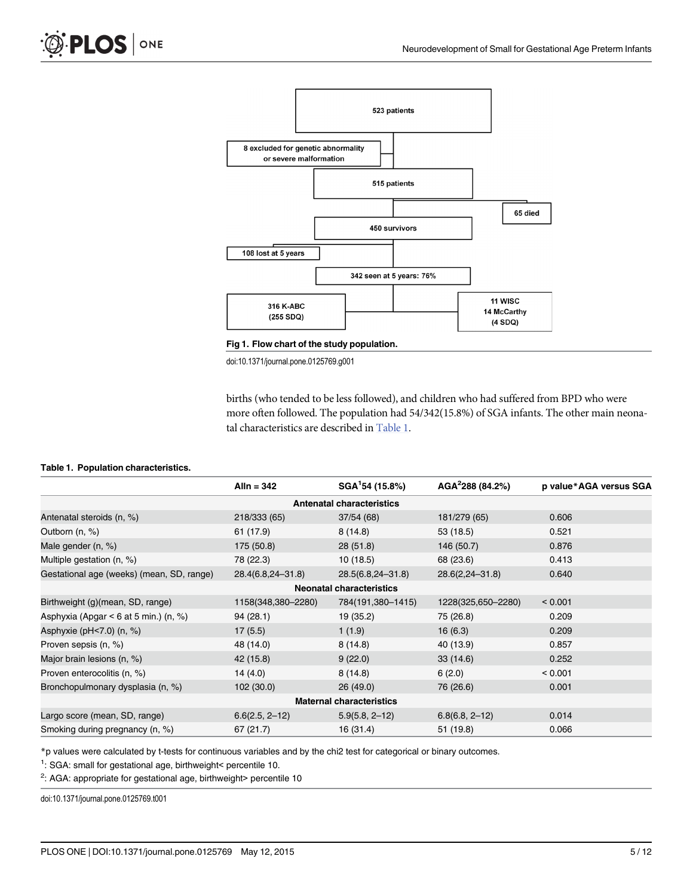<span id="page-4-0"></span>



doi:10.1371/journal.pone.0125769.g001

births (who tended to be less followed), and children who had suffered from BPD who were more often followed. The population had 54/342(15.8%) of SGA infants. The other main neonatal characteristics are described in Table 1.

#### Table 1. Population characteristics.

|                                            | Alln = $342$       | SGA <sup>1</sup> 54 (15.8%)     | AGA <sup>2</sup> 288(84.2%) | p value*AGA versus SGA |  |  |  |  |
|--------------------------------------------|--------------------|---------------------------------|-----------------------------|------------------------|--|--|--|--|
| <b>Antenatal characteristics</b>           |                    |                                 |                             |                        |  |  |  |  |
| Antenatal steroids (n, %)                  | 218/333 (65)       | 37/54(68)                       | 181/279 (65)                | 0.606                  |  |  |  |  |
| Outborn (n, %)                             | 61 (17.9)          | 8(14.8)                         | 53 (18.5)                   | 0.521                  |  |  |  |  |
| Male gender (n, %)                         | 175 (50.8)         | 28(51.8)                        | 146 (50.7)                  | 0.876                  |  |  |  |  |
| Multiple gestation (n, %)                  | 78 (22.3)          | 10(18.5)                        | 68 (23.6)                   | 0.413                  |  |  |  |  |
| Gestational age (weeks) (mean, SD, range)  | 28.4(6.8,24-31.8)  | 28.5(6.8,24-31.8)               | $28.6(2,24 - 31.8)$         | 0.640                  |  |  |  |  |
|                                            |                    | <b>Neonatal characteristics</b> |                             |                        |  |  |  |  |
| Birthweight (g)(mean, SD, range)           | 1158(348,380-2280) | 784(191,380-1415)               | 1228(325,650-2280)          | < 0.001                |  |  |  |  |
| Asphyxia (Apgar $\leq 6$ at 5 min.) (n, %) | 94(28.1)           | 19 (35.2)                       | 75 (26.8)                   | 0.209                  |  |  |  |  |
| Asphyxie ( $pH < 7.0$ ) (n, $%$ )          | 17(5.5)            | 1(1.9)                          | 16(6.3)                     | 0.209                  |  |  |  |  |
| Proven sepsis (n, %)                       | 48 (14.0)          | 8(14.8)                         | 40 (13.9)                   | 0.857                  |  |  |  |  |
| Major brain lesions (n, %)                 | 42 (15.8)          | 9(22.0)                         | 33(14.6)                    | 0.252                  |  |  |  |  |
| Proven enterocolitis (n, %)                | 14(4.0)            | 8(14.8)                         | 6(2.0)                      | < 0.001                |  |  |  |  |
| Bronchopulmonary dysplasia (n, %)          | 102 (30.0)         | 26(49.0)                        | 76 (26.6)                   | 0.001                  |  |  |  |  |
| <b>Maternal characteristics</b>            |                    |                                 |                             |                        |  |  |  |  |
| Largo score (mean, SD, range)              | $6.6(2.5, 2-12)$   | $5.9(5.8, 2-12)$                | $6.8(6.8, 2-12)$            | 0.014                  |  |  |  |  |
| Smoking during pregnancy (n, %)            | 67 (21.7)          | 16 (31.4)                       | 51 (19.8)                   | 0.066                  |  |  |  |  |

\*p values were calculated by t-tests for continuous variables and by the chi2 test for categorical or binary outcomes.

<sup>1</sup>: SGA: small for gestational age, birthweight< percentile 10.

 $2$ : AGA: appropriate for gestational age, birthweight> percentile 10

doi:10.1371/journal.pone.0125769.t001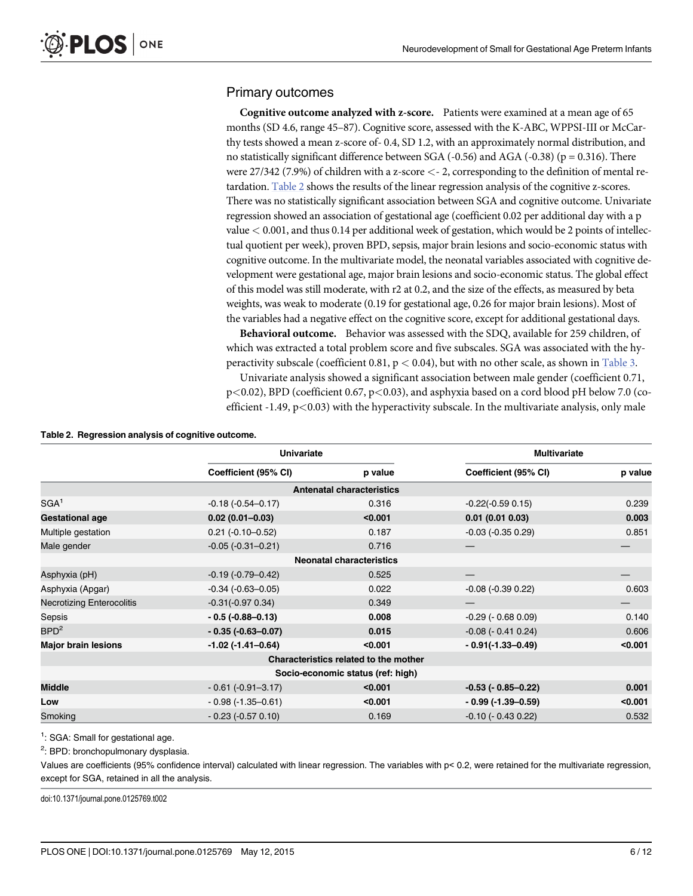### <span id="page-5-0"></span>Primary outcomes

Cognitive outcome analyzed with z-score. Patients were examined at a mean age of 65 months (SD 4.6, range 45–87). Cognitive score, assessed with the K-ABC, WPPSI-III or McCarthy tests showed a mean z-score of- 0.4, SD 1.2, with an approximately normal distribution, and no statistically significant difference between SGA  $(-0.56)$  and AGA  $(-0.38)$  ( $p = 0.316$ ). There were 27/342 (7.9%) of children with a z-score <- 2, corresponding to the definition of mental retardation. Table 2 shows the results of the linear regression analysis of the cognitive z-scores. There was no statistically significant association between SGA and cognitive outcome. Univariate regression showed an association of gestational age (coefficient 0.02 per additional day with a p value  $< 0.001$ , and thus 0.14 per additional week of gestation, which would be 2 points of intellectual quotient per week), proven BPD, sepsis, major brain lesions and socio-economic status with cognitive outcome. In the multivariate model, the neonatal variables associated with cognitive development were gestational age, major brain lesions and socio-economic status. The global effect of this model was still moderate, with r2 at 0.2, and the size of the effects, as measured by beta weights, was weak to moderate (0.19 for gestational age, 0.26 for major brain lesions). Most of the variables had a negative effect on the cognitive score, except for additional gestational days.

Behavioral outcome. Behavior was assessed with the SDQ, available for 259 children, of which was extracted a total problem score and five subscales. SGA was associated with the hyperactivity subscale (coefficient 0.81,  $p < 0.04$ ), but with no other scale, as shown in [Table 3](#page-6-0).

Univariate analysis showed a significant association between male gender (coefficient 0.71, p<0.02), BPD (coefficient 0.67, p<0.03), and asphyxia based on a cord blood pH below 7.0 (coefficient  $-1.49$ ,  $p<0.03$ ) with the hyperactivity subscale. In the multivariate analysis, only male

| Table 2. Regression analysis of cognitive outcome. |  |
|----------------------------------------------------|--|
|----------------------------------------------------|--|

|                                       | <b>Univariate</b>          |                                   |                          | <b>Multivariate</b> |  |  |  |  |  |
|---------------------------------------|----------------------------|-----------------------------------|--------------------------|---------------------|--|--|--|--|--|
|                                       | Coefficient (95% CI)       | p value                           | Coefficient (95% CI)     | p value             |  |  |  |  |  |
| <b>Antenatal characteristics</b>      |                            |                                   |                          |                     |  |  |  |  |  |
| SGA <sup>1</sup>                      | $-0.18(-0.54 - 0.17)$      | 0.316                             | $-0.22(-0.590.15)$       | 0.239               |  |  |  |  |  |
| <b>Gestational age</b>                | $0.02(0.01 - 0.03)$        | < 0.001                           | 0.01(0.010.03)           | 0.003               |  |  |  |  |  |
| Multiple gestation                    | $0.21$ (-0.10-0.52)        | 0.187                             | $-0.03$ $(-0.35 0.29)$   | 0.851               |  |  |  |  |  |
| Male gender                           | $-0.05(-0.31-0.21)$        | 0.716                             |                          |                     |  |  |  |  |  |
|                                       |                            | <b>Neonatal characteristics</b>   |                          |                     |  |  |  |  |  |
| Asphyxia (pH)                         | $-0.19(-0.79-0.42)$        | 0.525                             |                          |                     |  |  |  |  |  |
| Asphyxia (Apgar)                      | $-0.34$ $(-0.63 - 0.05)$   | 0.022                             | $-0.08$ ( $-0.39$ 0.22)  | 0.603               |  |  |  |  |  |
| <b>Necrotizing Enterocolitis</b>      | $-0.31(-0.970.34)$         | 0.349                             |                          |                     |  |  |  |  |  |
| Sepsis                                | $-0.5(-0.88-0.13)$         | 0.008                             | $-0.29$ ( $-0.68$ 0.09)  | 0.140               |  |  |  |  |  |
| BPD <sup>2</sup>                      | $-0.35(-0.63-0.07)$        | 0.015                             | $-0.08$ ( $-0.41$ 0.24)  | 0.606               |  |  |  |  |  |
| <b>Major brain lesions</b>            | $-1.02$ ( $-1.41 - 0.64$ ) | < 0.001                           | $-0.91(-1.33-0.49)$      | < 0.001             |  |  |  |  |  |
| Characteristics related to the mother |                            |                                   |                          |                     |  |  |  |  |  |
|                                       |                            | Socio-economic status (ref: high) |                          |                     |  |  |  |  |  |
| <b>Middle</b>                         | $-0.61(-0.91-3.17)$        | < 0.001                           | $-0.53$ ( $-0.85-0.22$ ) | 0.001               |  |  |  |  |  |
| Low                                   | $-0.98(-1.35-0.61)$        | < 0.001                           | $-0.99(-1.39-0.59)$      | < 0.001             |  |  |  |  |  |
| Smoking                               | $-0.23$ $(-0.57 0.10)$     | 0.169                             | $-0.10$ ( $-0.43$ 0.22)  | 0.532               |  |  |  |  |  |

<sup>1</sup>: SGA: Small for gestational age.

<sup>2</sup>: BPD: bronchopulmonary dysplasia.

Values are coefficients (95% confidence interval) calculated with linear regression. The variables with p< 0.2, were retained for the multivariate regression, except for SGA, retained in all the analysis.

doi:10.1371/journal.pone.0125769.t002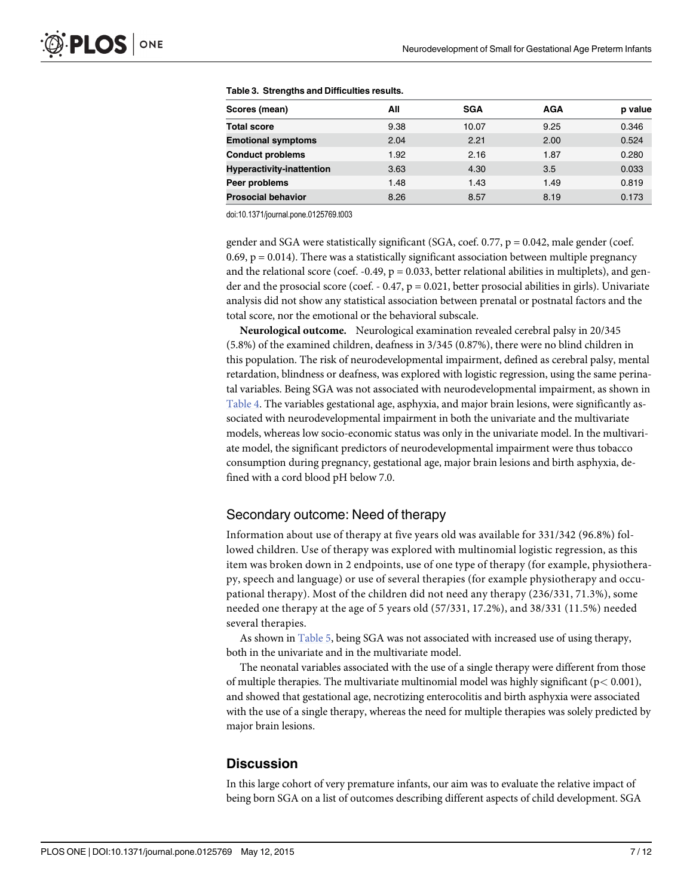| Scores (mean)                    | All  | <b>SGA</b> | AGA  | p value |
|----------------------------------|------|------------|------|---------|
| <b>Total score</b>               | 9.38 | 10.07      | 9.25 | 0.346   |
| <b>Emotional symptoms</b>        | 2.04 | 2.21       | 2.00 | 0.524   |
| <b>Conduct problems</b>          | 1.92 | 2.16       | 1.87 | 0.280   |
| <b>Hyperactivity-inattention</b> | 3.63 | 4.30       | 3.5  | 0.033   |
| Peer problems                    | 1.48 | 1.43       | 1.49 | 0.819   |
| <b>Prosocial behavior</b>        | 8.26 | 8.57       | 8.19 | 0.173   |

#### <span id="page-6-0"></span>[Table 3.](#page-5-0) Strengths and Difficulties results.

doi:10.1371/journal.pone.0125769.t003

gender and SGA were statistically significant (SGA, coef.  $0.77$ ,  $p = 0.042$ , male gender (coef. 0.69,  $p = 0.014$ ). There was a statistically significant association between multiple pregnancy and the relational score (coef.  $-0.49$ ,  $p = 0.033$ , better relational abilities in multiplets), and gender and the prosocial score (coef. - 0.47,  $p = 0.021$ , better prosocial abilities in girls). Univariate analysis did not show any statistical association between prenatal or postnatal factors and the total score, nor the emotional or the behavioral subscale.

Neurological outcome. Neurological examination revealed cerebral palsy in 20/345 (5.8%) of the examined children, deafness in 3/345 (0.87%), there were no blind children in this population. The risk of neurodevelopmental impairment, defined as cerebral palsy, mental retardation, blindness or deafness, was explored with logistic regression, using the same perinatal variables. Being SGA was not associated with neurodevelopmental impairment, as shown in [Table 4](#page-7-0). The variables gestational age, asphyxia, and major brain lesions, were significantly associated with neurodevelopmental impairment in both the univariate and the multivariate models, whereas low socio-economic status was only in the univariate model. In the multivariate model, the significant predictors of neurodevelopmental impairment were thus tobacco consumption during pregnancy, gestational age, major brain lesions and birth asphyxia, defined with a cord blood pH below 7.0.

#### Secondary outcome: Need of therapy

Information about use of therapy at five years old was available for 331/342 (96.8%) followed children. Use of therapy was explored with multinomial logistic regression, as this item was broken down in 2 endpoints, use of one type of therapy (for example, physiotherapy, speech and language) or use of several therapies (for example physiotherapy and occupational therapy). Most of the children did not need any therapy (236/331, 71.3%), some needed one therapy at the age of 5 years old (57/331, 17.2%), and 38/331 (11.5%) needed several therapies.

As shown in [Table 5,](#page-8-0) being SGA was not associated with increased use of using therapy, both in the univariate and in the multivariate model.

The neonatal variables associated with the use of a single therapy were different from those of multiple therapies. The multivariate multinomial model was highly significant ( $p < 0.001$ ), and showed that gestational age, necrotizing enterocolitis and birth asphyxia were associated with the use of a single therapy, whereas the need for multiple therapies was solely predicted by major brain lesions.

## **Discussion**

In this large cohort of very premature infants, our aim was to evaluate the relative impact of being born SGA on a list of outcomes describing different aspects of child development. SGA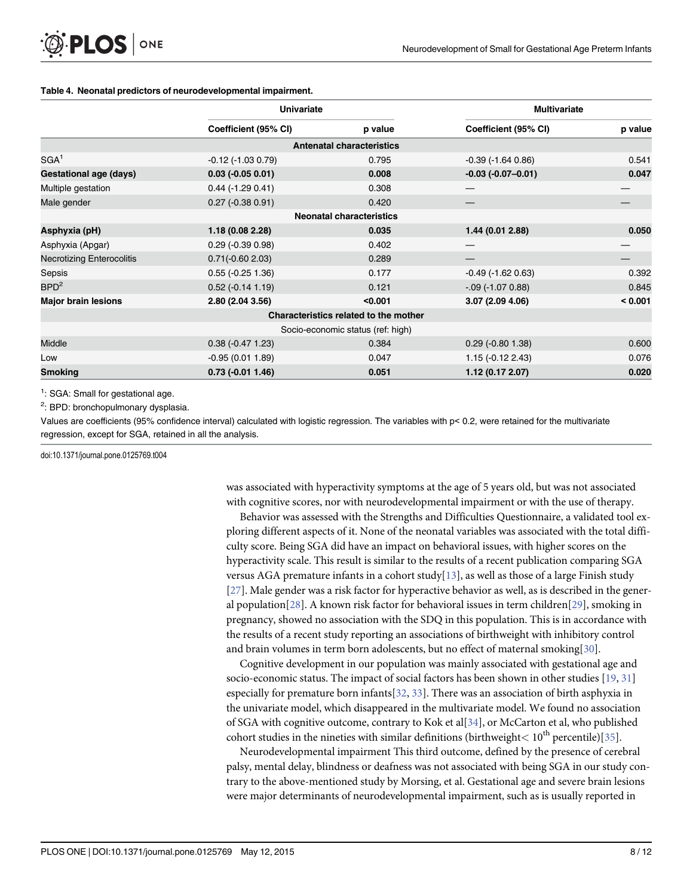#### <span id="page-7-0"></span>[Table 4.](#page-6-0) Neonatal predictors of neurodevelopmental impairment.

|                                  | <b>Univariate</b>         |                                       | <b>Multivariate</b>     |         |  |
|----------------------------------|---------------------------|---------------------------------------|-------------------------|---------|--|
|                                  | Coefficient (95% CI)      | p value                               | Coefficient (95% CI)    | p value |  |
|                                  |                           | <b>Antenatal characteristics</b>      |                         |         |  |
| SGA <sup>1</sup>                 | $-0.12$ ( $-1.03$ 0.79)   | 0.795                                 | $-0.39$ ( $-1.64$ 0.86) | 0.541   |  |
| <b>Gestational age (days)</b>    | $0.03$ (-0.05 0.01)       | 0.008                                 | $-0.03(-0.07-0.01)$     | 0.047   |  |
| Multiple gestation               | $0.44$ (-1.29 0.41)       | 0.308                                 |                         |         |  |
| Male gender                      | $0.27$ (-0.38 0.91)       | 0.420                                 |                         |         |  |
|                                  |                           | <b>Neonatal characteristics</b>       |                         |         |  |
| Asphyxia (pH)                    | 1.18 (0.08 2.28)          | 0.035                                 | 1.44 (0.01 2.88)        | 0.050   |  |
| Asphyxia (Apgar)                 | $0.29$ ( $-0.39$ $0.98$ ) | 0.402                                 |                         |         |  |
| <b>Necrotizing Enterocolitis</b> | $0.71(-0.602.03)$         | 0.289                                 |                         |         |  |
| Sepsis                           | $0.55$ ( $-0.25$ 1.36)    | 0.177                                 | $-0.49$ ( $-1.62$ 0.63) | 0.392   |  |
| BPD <sup>2</sup>                 | $0.52$ (-0.14 1.19)       | 0.121<br>$-.09$ (-1.07 0.88)          |                         | 0.845   |  |
| <b>Major brain lesions</b>       | 2.80 (2.04 3.56)          | < 0.001                               | 3.07(2.094.06)          | < 0.001 |  |
|                                  |                           | Characteristics related to the mother |                         |         |  |
|                                  |                           | Socio-economic status (ref: high)     |                         |         |  |
| <b>Middle</b>                    | $0.38 (-0.47 1.23)$       | 0.384                                 | $0.29$ ( $-0.80$ 1.38)  | 0.600   |  |
| Low                              | $-0.95(0.011.89)$         | 0.047                                 | $1.15(-0.122.43)$       | 0.076   |  |
| <b>Smoking</b>                   | $0.73$ (-0.01 1.46)       | 0.051                                 | 1.12(0.172.07)          | 0.020   |  |

<sup>1</sup>: SGA: Small for gestational age.

<sup>2</sup>: BPD: bronchopulmonary dysplasia.

Values are coefficients (95% confidence interval) calculated with logistic regression. The variables with p< 0.2, were retained for the multivariate regression, except for SGA, retained in all the analysis.

doi:10.1371/journal.pone.0125769.t004

was associated with hyperactivity symptoms at the age of 5 years old, but was not associated with cognitive scores, nor with neurodevelopmental impairment or with the use of therapy.

Behavior was assessed with the Strengths and Difficulties Questionnaire, a validated tool exploring different aspects of it. None of the neonatal variables was associated with the total difficulty score. Being SGA did have an impact on behavioral issues, with higher scores on the hyperactivity scale. This result is similar to the results of a recent publication comparing SGA versus AGA premature infants in a cohort study  $[13]$  $[13]$  $[13]$ , as well as those of a large Finish study [\[27](#page-11-0)]. Male gender was a risk factor for hyperactive behavior as well, as is described in the general population[\[28\]](#page-11-0). A known risk factor for behavioral issues in term children[\[29\]](#page-11-0), smoking in pregnancy, showed no association with the SDQ in this population. This is in accordance with the results of a recent study reporting an associations of birthweight with inhibitory control and brain volumes in term born adolescents, but no effect of maternal smoking[[30](#page-11-0)].

Cognitive development in our population was mainly associated with gestational age and socio-economic status. The impact of social factors has been shown in other studies [\[19,](#page-10-0) [31\]](#page-11-0) especially for premature born infants $[32, 33]$  $[32, 33]$  $[32, 33]$  $[32, 33]$  $[32, 33]$ . There was an association of birth asphyxia in the univariate model, which disappeared in the multivariate model. We found no association of SGA with cognitive outcome, contrary to Kok et al $[34]$ , or McCarton et al, who published cohort studies in the nineties with similar definitions (birthweight  $\lt 10^{th}$  percentile)[\[35\]](#page-11-0).

Neurodevelopmental impairment This third outcome, defined by the presence of cerebral palsy, mental delay, blindness or deafness was not associated with being SGA in our study contrary to the above-mentioned study by Morsing, et al. Gestational age and severe brain lesions were major determinants of neurodevelopmental impairment, such as is usually reported in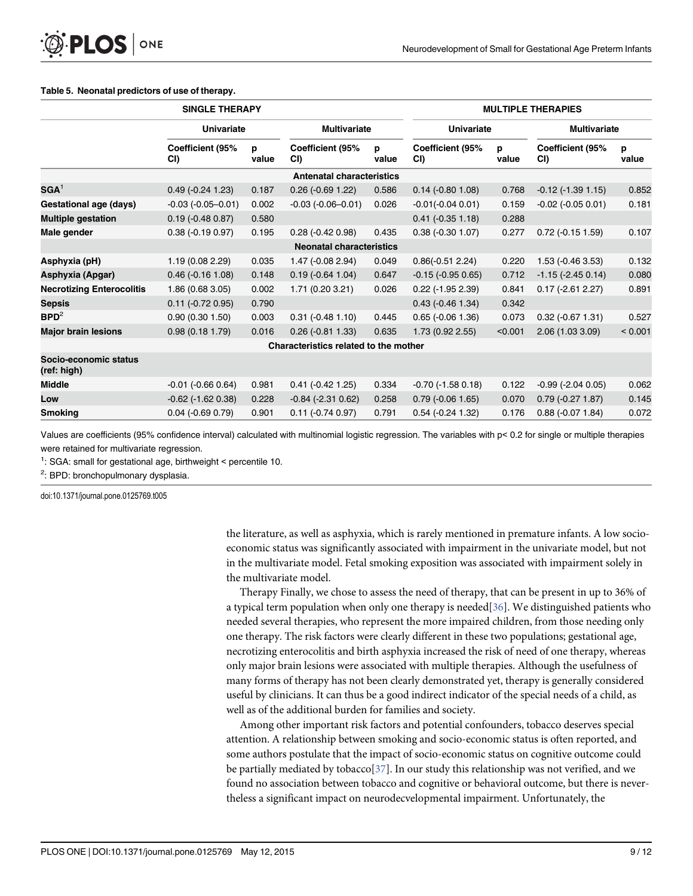#### <span id="page-8-0"></span>[Table 5.](#page-6-0) Neonatal predictors of use of therapy.

|                                      | <b>SINGLE THERAPY</b>   |            |                                       |            |                         |            | <b>MULTIPLE THERAPIES</b> |            |
|--------------------------------------|-------------------------|------------|---------------------------------------|------------|-------------------------|------------|---------------------------|------------|
|                                      | <b>Univariate</b>       |            | <b>Multivariate</b>                   |            | <b>Univariate</b>       |            | <b>Multivariate</b>       |            |
|                                      | Coefficient (95%<br>CI) | р<br>value | Coefficient (95%<br>CI)               | p<br>value | Coefficient (95%<br>CI) | p<br>value | Coefficient (95%<br>CI)   | р<br>value |
|                                      |                         |            | <b>Antenatal characteristics</b>      |            |                         |            |                           |            |
| $\text{SGA}^1$                       | $0.49$ ( $-0.24$ 1.23)  | 0.187      | $0.26$ ( $-0.69$ 1.22)                | 0.586      | $0.14$ (-0.80 1.08)     | 0.768      | $-0.12$ ( $-1.39$ 1.15)   | 0.852      |
| <b>Gestational age (days)</b>        | $-0.03(-0.05-0.01)$     | 0.002      | $-0.03(-0.06 - 0.01)$                 | 0.026      | $-0.01(-0.040.01)$      | 0.159      | $-0.02$ ( $-0.05$ 0.01)   | 0.181      |
| <b>Multiple gestation</b>            | $0.19$ (-0.48 0.87)     | 0.580      |                                       |            | $0.41 (-0.35 1.18)$     | 0.288      |                           |            |
| Male gender                          | $0.38(-0.190.97)$       | 0.195      | $0.28$ ( $-0.42$ 0.98)                | 0.435      | $0.38$ ( $-0.30$ 1.07)  | 0.277      | $0.72$ ( $-0.15$ 1.59)    | 0.107      |
|                                      |                         |            | <b>Neonatal characteristics</b>       |            |                         |            |                           |            |
| Asphyxia (pH)                        | 1.19(0.082.29)          | 0.035      | 1.47 (-0.08 2.94)                     | 0.049      | $0.86(-0.512.24)$       | 0.220      | $1.53$ (-0.46 3.53)       | 0.132      |
| Asphyxia (Apgar)                     | $0.46$ ( $-0.16$ 1.08)  | 0.148      | $0.19$ ( $-0.64$ 1.04)                | 0.647      | $-0.15$ ( $-0.95$ 0.65) | 0.712      | $-1.15$ ( $-2.45$ 0.14)   | 0.080      |
| <b>Necrotizing Enterocolitis</b>     | 1.86 (0.68 3.05)        | 0.002      | 1.71 (0.20 3.21)                      | 0.026      | $0.22$ (-1.95 2.39)     | 0.841      | $0.17$ (-2.61 2.27)       | 0.891      |
| <b>Sepsis</b>                        | $0.11 (-0.72 0.95)$     | 0.790      |                                       |            | $0.43$ ( $-0.46$ 1.34)  | 0.342      |                           |            |
| BPD <sup>2</sup>                     | 0.90(0.301.50)          | 0.003      | $0.31$ ( $-0.48$ 1.10)                | 0.445      | $0.65$ ( $-0.06$ 1.36)  | 0.073      | $0.32$ ( $-0.67$ 1.31)    | 0.527      |
| <b>Major brain lesions</b>           | 0.98(0.181.79)          | 0.016      | $0.26$ ( $-0.81$ 1.33)                | 0.635      | 1.73 (0.92 2.55)        | < 0.001    | 2.06 (1.03 3.09)          | < 0.001    |
|                                      |                         |            | Characteristics related to the mother |            |                         |            |                           |            |
| Socio-economic status<br>(ref: high) |                         |            |                                       |            |                         |            |                           |            |
| <b>Middle</b>                        | $-0.01$ $(-0.66 0.64)$  | 0.981      | $0.41$ ( $-0.42$ 1.25)                | 0.334      | $-0.70$ ( $-1.58$ 0.18) | 0.122      | $-0.99$ ( $-2.04$ 0.05)   | 0.062      |
| Low                                  | $-0.62$ ( $-1.62$ 0.38) | 0.228      | $-0.84$ $(-2.31 0.62)$                | 0.258      | $0.79$ (-0.06 1.65)     | 0.070      | $0.79$ ( $-0.27$ 1.87)    | 0.145      |
| <b>Smoking</b>                       | $0.04$ ( $-0.69$ 0.79)  | 0.901      | $0.11 (-0.74 0.97)$                   | 0.791      | $0.54$ ( $-0.24$ 1.32)  | 0.176      | $0.88$ ( $-0.07$ 1.84)    | 0.072      |

Values are coefficients (95% confidence interval) calculated with multinomial logistic regression. The variables with p< 0.2 for single or multiple therapies were retained for multivariate regression.

<sup>1</sup>: SGA: small for gestational age, birthweight < percentile 10.

<sup>2</sup>: BPD: bronchopulmonary dysplasia.

doi:10.1371/journal.pone.0125769.t005

the literature, as well as asphyxia, which is rarely mentioned in premature infants. A low socioeconomic status was significantly associated with impairment in the univariate model, but not in the multivariate model. Fetal smoking exposition was associated with impairment solely in the multivariate model.

Therapy Finally, we chose to assess the need of therapy, that can be present in up to 36% of a typical term population when only one therapy is needed[\[36](#page-11-0)]. We distinguished patients who needed several therapies, who represent the more impaired children, from those needing only one therapy. The risk factors were clearly different in these two populations; gestational age, necrotizing enterocolitis and birth asphyxia increased the risk of need of one therapy, whereas only major brain lesions were associated with multiple therapies. Although the usefulness of many forms of therapy has not been clearly demonstrated yet, therapy is generally considered useful by clinicians. It can thus be a good indirect indicator of the special needs of a child, as well as of the additional burden for families and society.

Among other important risk factors and potential confounders, tobacco deserves special attention. A relationship between smoking and socio-economic status is often reported, and some authors postulate that the impact of socio-economic status on cognitive outcome could be partially mediated by tobacco[ $37$ ]. In our study this relationship was not verified, and we found no association between tobacco and cognitive or behavioral outcome, but there is nevertheless a significant impact on neurodecvelopmental impairment. Unfortunately, the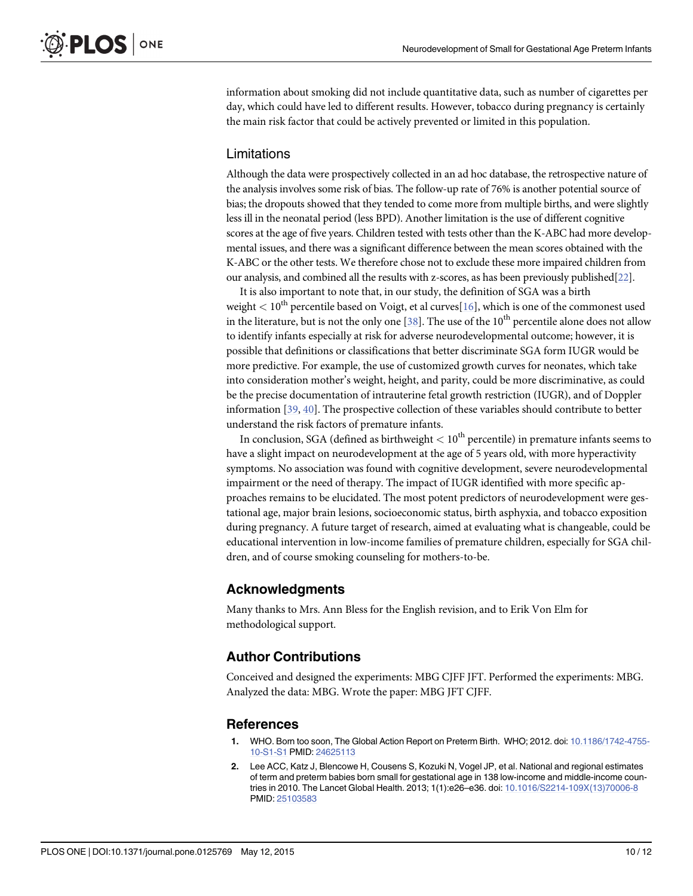<span id="page-9-0"></span>information about smoking did not include quantitative data, such as number of cigarettes per day, which could have led to different results. However, tobacco during pregnancy is certainly the main risk factor that could be actively prevented or limited in this population.

## Limitations

Although the data were prospectively collected in an ad hoc database, the retrospective nature of the analysis involves some risk of bias. The follow-up rate of 76% is another potential source of bias; the dropouts showed that they tended to come more from multiple births, and were slightly less ill in the neonatal period (less BPD). Another limitation is the use of different cognitive scores at the age of five years. Children tested with tests other than the K-ABC had more developmental issues, and there was a significant difference between the mean scores obtained with the K-ABC or the other tests. We therefore chose not to exclude these more impaired children from our analysis, and combined all the results with z-scores, as has been previously published[\[22](#page-10-0)].

It is also important to note that, in our study, the definition of SGA was a birth weight  $< 10<sup>th</sup>$  percentile based on Voigt, et al curves [\[16\]](#page-10-0), which is one of the commonest used in the literature, but is not the only one  $[38]$  $[38]$ . The use of the 10<sup>th</sup> percentile alone does not allow to identify infants especially at risk for adverse neurodevelopmental outcome; however, it is possible that definitions or classifications that better discriminate SGA form IUGR would be more predictive. For example, the use of customized growth curves for neonates, which take into consideration mother's weight, height, and parity, could be more discriminative, as could be the precise documentation of intrauterine fetal growth restriction (IUGR), and of Doppler information [[39](#page-11-0), [40](#page-11-0)]. The prospective collection of these variables should contribute to better understand the risk factors of premature infants.

In conclusion, SGA (defined as birthweight  $< 10<sup>th</sup>$  percentile) in premature infants seems to have a slight impact on neurodevelopment at the age of 5 years old, with more hyperactivity symptoms. No association was found with cognitive development, severe neurodevelopmental impairment or the need of therapy. The impact of IUGR identified with more specific approaches remains to be elucidated. The most potent predictors of neurodevelopment were gestational age, major brain lesions, socioeconomic status, birth asphyxia, and tobacco exposition during pregnancy. A future target of research, aimed at evaluating what is changeable, could be educational intervention in low-income families of premature children, especially for SGA children, and of course smoking counseling for mothers-to-be.

## Acknowledgments

Many thanks to Mrs. Ann Bless for the English revision, and to Erik Von Elm for methodological support.

## Author Contributions

Conceived and designed the experiments: MBG CJFF JFT. Performed the experiments: MBG. Analyzed the data: MBG. Wrote the paper: MBG JFT CJFF.

#### **References**

- WHO. Born too soon, The Global Action Report on Preterm Birth. WHO; 2012. doi: [10.1186/1742-4755-](http://dx.doi.org/10.1186/1742-4755-10-S1-S1) [10-S1-S1](http://dx.doi.org/10.1186/1742-4755-10-S1-S1) PMID: [24625113](http://www.ncbi.nlm.nih.gov/pubmed/24625113)
- [2.](#page-1-0) Lee ACC, Katz J, Blencowe H, Cousens S, Kozuki N, Vogel JP, et al. National and regional estimates of term and preterm babies born small for gestational age in 138 low-income and middle-income countries in 2010. The Lancet Global Health. 2013; 1(1):e26–e36. doi: [10.1016/S2214-109X\(13\)70006-8](http://dx.doi.org/10.1016/S2214-109X(13)70006-8) PMID: [25103583](http://www.ncbi.nlm.nih.gov/pubmed/25103583)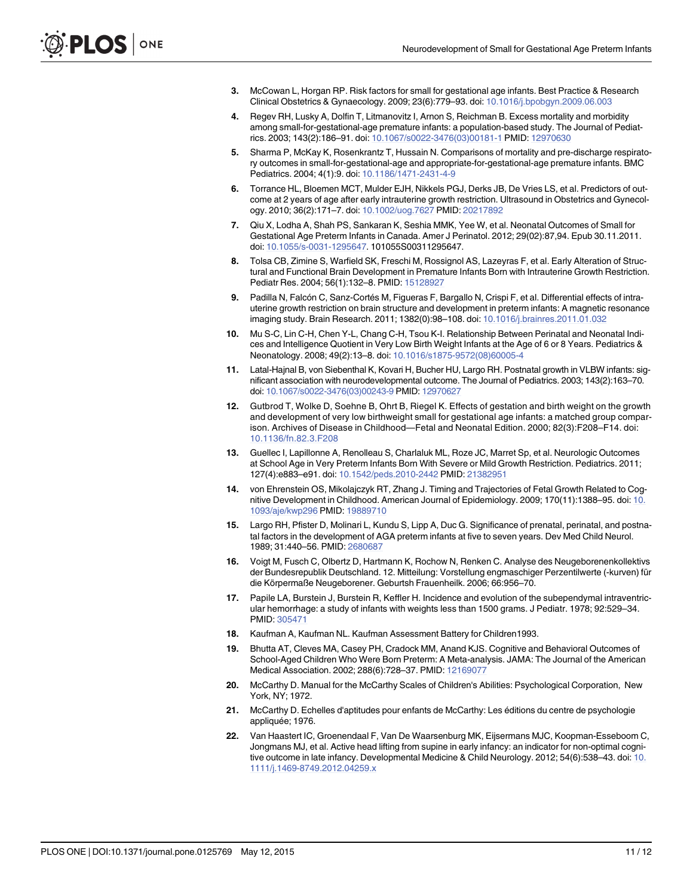- <span id="page-10-0"></span>[3.](#page-1-0) McCowan L, Horgan RP. Risk factors for small for gestational age infants. Best Practice & Research Clinical Obstetrics & Gynaecology. 2009; 23(6):779–93. doi: [10.1016/j.bpobgyn.2009.06.003](http://dx.doi.org/10.1016/j.bpobgyn.2009.06.003)
- [4.](#page-1-0) Regev RH, Lusky A, Dolfin T, Litmanovitz I, Arnon S, Reichman B. Excess mortality and morbidity among small-for-gestational-age premature infants: a population-based study. The Journal of Pediatrics. 2003; 143(2):186–91. doi: [10.1067/s0022-3476\(03\)00181-1](http://dx.doi.org/10.1067/s0022-3476(03)00181-1) PMID: [12970630](http://www.ncbi.nlm.nih.gov/pubmed/12970630)
- 5. Sharma P, McKay K, Rosenkrantz T, Hussain N. Comparisons of mortality and pre-discharge respiratory outcomes in small-for-gestational-age and appropriate-for-gestational-age premature infants. BMC Pediatrics. 2004; 4(1):9. doi: [10.1186/1471-2431-4-9](http://dx.doi.org/10.1186/1471-2431-4-9)
- 6. Torrance HL, Bloemen MCT, Mulder EJH, Nikkels PGJ, Derks JB, De Vries LS, et al. Predictors of outcome at 2 years of age after early intrauterine growth restriction. Ultrasound in Obstetrics and Gynecology. 2010; 36(2):171–7. doi: [10.1002/uog.7627](http://dx.doi.org/10.1002/uog.7627) PMID: [20217892](http://www.ncbi.nlm.nih.gov/pubmed/20217892)
- [7.](#page-1-0) Qiu X, Lodha A, Shah PS, Sankaran K, Seshia MMK, Yee W, et al. Neonatal Outcomes of Small for Gestational Age Preterm Infants in Canada. Amer J Perinatol. 2012; 29(02):87,94. Epub 30.11.2011. doi: [10.1055/s-0031-1295647.](http://dx.doi.org/10.1055/s-0031-1295647) 101055S00311295647.
- [8.](#page-1-0) Tolsa CB, Zimine S, Warfield SK, Freschi M, Rossignol AS, Lazeyras F, et al. Early Alteration of Structural and Functional Brain Development in Premature Infants Born with Intrauterine Growth Restriction. Pediatr Res. 2004; 56(1):132–8. PMID: [15128927](http://www.ncbi.nlm.nih.gov/pubmed/15128927)
- [9.](#page-1-0) Padilla N, Falcón C, Sanz-Cortés M, Figueras F, Bargallo N, Crispi F, et al. Differential effects of intrauterine growth restriction on brain structure and development in preterm infants: A magnetic resonance imaging study. Brain Research. 2011; 1382(0):98–108. doi: [10.1016/j.brainres.2011.01.032](http://dx.doi.org/10.1016/j.brainres.2011.01.032)
- [10.](#page-1-0) Mu S-C, Lin C-H, Chen Y-L, Chang C-H, Tsou K-I. Relationship Between Perinatal and Neonatal Indices and Intelligence Quotient in Very Low Birth Weight Infants at the Age of 6 or 8 Years. Pediatrics & Neonatology. 2008; 49(2):13–8. doi: [10.1016/s1875-9572\(08\)60005-4](http://dx.doi.org/10.1016/s1875-9572(08)60005-4)
- 11. Latal-Hajnal B, von Siebenthal K, Kovari H, Bucher HU, Largo RH. Postnatal growth in VLBW infants: significant association with neurodevelopmental outcome. The Journal of Pediatrics. 2003; 143(2):163–70. doi: [10.1067/s0022-3476\(03\)00243-9](http://dx.doi.org/10.1067/s0022-3476(03)00243-9) PMID: [12970627](http://www.ncbi.nlm.nih.gov/pubmed/12970627)
- [12.](#page-1-0) Gutbrod T, Wolke D, Soehne B, Ohrt B, Riegel K. Effects of gestation and birth weight on the growth and development of very low birthweight small for gestational age infants: a matched group comparison. Archives of Disease in Childhood—Fetal and Neonatal Edition. 2000; 82(3):F208–F14. doi: [10.1136/fn.82.3.F208](http://dx.doi.org/10.1136/fn.82.3.F208)
- [13.](#page-1-0) Guellec I, Lapillonne A, Renolleau S, Charlaluk ML, Roze JC, Marret Sp, et al. Neurologic Outcomes at School Age in Very Preterm Infants Born With Severe or Mild Growth Restriction. Pediatrics. 2011; 127(4):e883–e91. doi: [10.1542/peds.2010-2442](http://dx.doi.org/10.1542/peds.2010-2442) PMID: [21382951](http://www.ncbi.nlm.nih.gov/pubmed/21382951)
- [14.](#page-1-0) von Ehrenstein OS, Mikolajczyk RT, Zhang J. Timing and Trajectories of Fetal Growth Related to Cognitive Development in Childhood. American Journal of Epidemiology. 2009; 170(11):1388–95. doi: [10.](http://dx.doi.org/10.1093/aje/kwp296) [1093/aje/kwp296](http://dx.doi.org/10.1093/aje/kwp296) PMID: [19889710](http://www.ncbi.nlm.nih.gov/pubmed/19889710)
- [15.](#page-2-0) Largo RH, Pfister D, Molinari L, Kundu S, Lipp A, Duc G. Significance of prenatal, perinatal, and postnatal factors in the development of AGA preterm infants at five to seven years. Dev Med Child Neurol. 1989; 31:440–56. PMID: [2680687](http://www.ncbi.nlm.nih.gov/pubmed/2680687)
- [16.](#page-2-0) Voigt M, Fusch C, Olbertz D, Hartmann K, Rochow N, Renken C. Analyse des Neugeborenenkollektivs der Bundesrepublik Deutschland. 12. Mitteilung: Vorstellung engmaschiger Perzentilwerte (-kurven) für die Körpermaße Neugeborener. Geburtsh Frauenheilk. 2006; 66:956–70.
- [17.](#page-2-0) Papile LA, Burstein J, Burstein R, Keffler H. Incidence and evolution of the subependymal intraventricular hemorrhage: a study of infants with weights less than 1500 grams. J Pediatr. 1978; 92:529–34. PMID: [305471](http://www.ncbi.nlm.nih.gov/pubmed/305471)
- [18.](#page-2-0) Kaufman A, Kaufman NL. Kaufman Assessment Battery for Children1993.
- [19.](#page-2-0) Bhutta AT, Cleves MA, Casey PH, Cradock MM, Anand KJS. Cognitive and Behavioral Outcomes of School-Aged Children Who Were Born Preterm: A Meta-analysis. JAMA: The Journal of the American Medical Association. 2002; 288(6):728–37. PMID: [12169077](http://www.ncbi.nlm.nih.gov/pubmed/12169077)
- [20.](#page-3-0) McCarthy D. Manual for the McCarthy Scales of Children's Abilities: Psychological Corporation, New York, NY; 1972.
- [21.](#page-3-0) McCarthy D. Echelles d'aptitudes pour enfants de McCarthy: Les éditions du centre de psychologie appliquée; 1976.
- [22.](#page-3-0) Van Haastert IC, Groenendaal F, Van De Waarsenburg MK, Eijsermans MJC, Koopman-Esseboom C, Jongmans MJ, et al. Active head lifting from supine in early infancy: an indicator for non-optimal cogni-tive outcome in late infancy. Developmental Medicine & Child Neurology. 2012; 54(6):538-43. doi: [10.](http://dx.doi.org/10.1111/j.1469-8749.2012.04259.x) [1111/j.1469-8749.2012.04259.x](http://dx.doi.org/10.1111/j.1469-8749.2012.04259.x)